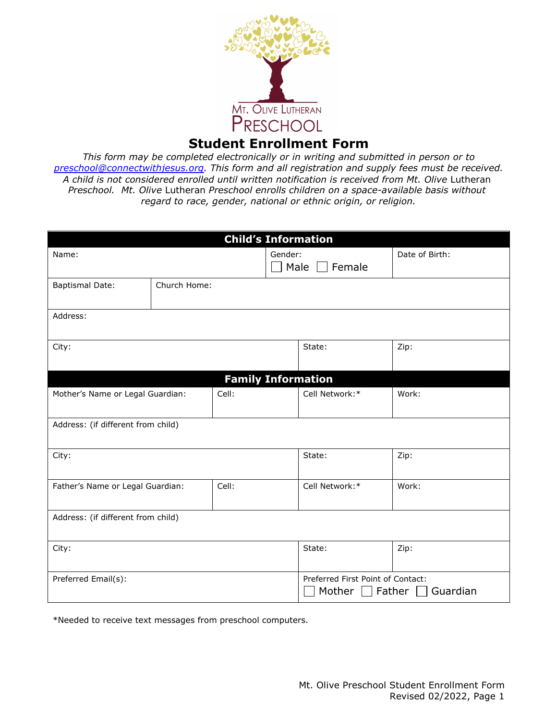

## **Student Enrollment Form**

 *Preschool. Mt. Olive Lutheran Preschool enrolls children on a space-available basis without regard to race, gender, national or ethnic origin, or religion.This form may be completed electronically or in writing and submitted in person or to [preschool@connectwithjesus.org.](mailto:preschool@connectwithjesus.org) This form and all registration and supply fees must be received.* A child is not considered enrolled until written notification is received from Mt. Olive Lutheran

| <b>Child's Information</b>                |                           |  |                                                                   |                |                |  |
|-------------------------------------------|---------------------------|--|-------------------------------------------------------------------|----------------|----------------|--|
| Name:                                     |                           |  | Gender:<br>$\Box$ Male<br>$\Box$ Female                           |                | Date of Birth: |  |
| <b>Baptismal Date:</b>                    | Church Home:              |  |                                                                   |                |                |  |
| Address:                                  |                           |  |                                                                   |                |                |  |
| City:                                     |                           |  |                                                                   | State:         | Zip:           |  |
|                                           | <b>Family Information</b> |  |                                                                   |                |                |  |
| Mother's Name or Legal Guardian:<br>Cell: |                           |  | Cell Network:*                                                    |                | Work:          |  |
| Address: (if different from child)        |                           |  |                                                                   |                |                |  |
| City:                                     |                           |  |                                                                   | State:         | Zip:           |  |
| Cell:<br>Father's Name or Legal Guardian: |                           |  |                                                                   | Cell Network:* | Work:          |  |
| Address: (if different from child)        |                           |  |                                                                   |                |                |  |
| City:                                     |                           |  |                                                                   | State:         | Zip:           |  |
| Preferred Email(s):                       |                           |  | Preferred First Point of Contact:<br>Father<br>Guardian<br>Mother |                |                |  |

\*Needed to receive text messages from preschool computers.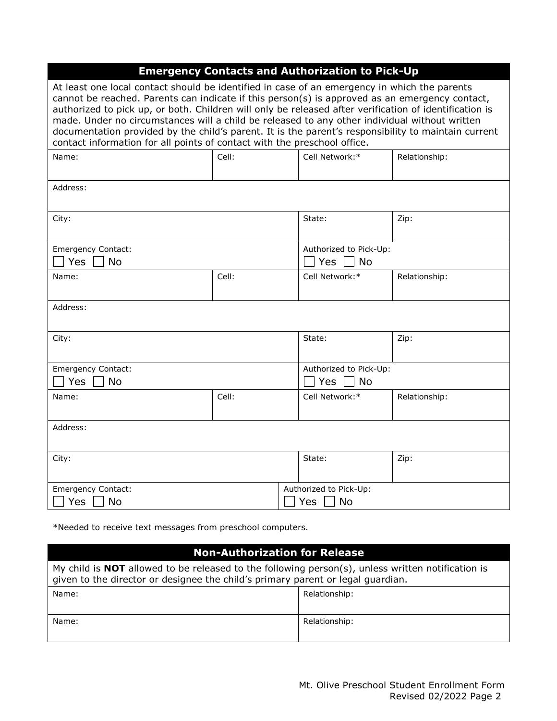| <b>Emergency Contacts and Authorization to Pick-Up</b>                                                                                                                                                                                                                                                                                                                                                                                                                                                                                                                                       |       |                           |               |  |  |
|----------------------------------------------------------------------------------------------------------------------------------------------------------------------------------------------------------------------------------------------------------------------------------------------------------------------------------------------------------------------------------------------------------------------------------------------------------------------------------------------------------------------------------------------------------------------------------------------|-------|---------------------------|---------------|--|--|
| At least one local contact should be identified in case of an emergency in which the parents<br>cannot be reached. Parents can indicate if this person(s) is approved as an emergency contact,<br>authorized to pick up, or both. Children will only be released after verification of identification is<br>made. Under no circumstances will a child be released to any other individual without written<br>documentation provided by the child's parent. It is the parent's responsibility to maintain current<br>contact information for all points of contact with the preschool office. |       |                           |               |  |  |
| Name:                                                                                                                                                                                                                                                                                                                                                                                                                                                                                                                                                                                        | Cell: | Cell Network:*            | Relationship: |  |  |
| Address:                                                                                                                                                                                                                                                                                                                                                                                                                                                                                                                                                                                     |       |                           |               |  |  |
| City:                                                                                                                                                                                                                                                                                                                                                                                                                                                                                                                                                                                        |       | State:                    | Zip:          |  |  |
| <b>Emergency Contact:</b>                                                                                                                                                                                                                                                                                                                                                                                                                                                                                                                                                                    |       | Authorized to Pick-Up:    |               |  |  |
| Yes<br><b>No</b>                                                                                                                                                                                                                                                                                                                                                                                                                                                                                                                                                                             |       | $\sqcap$ Yes<br><b>No</b> |               |  |  |
| Name:                                                                                                                                                                                                                                                                                                                                                                                                                                                                                                                                                                                        | Cell: | Cell Network:*            | Relationship: |  |  |
| Address:                                                                                                                                                                                                                                                                                                                                                                                                                                                                                                                                                                                     |       |                           |               |  |  |
| City:                                                                                                                                                                                                                                                                                                                                                                                                                                                                                                                                                                                        |       | State:                    | Zip:          |  |  |
| <b>Emergency Contact:</b>                                                                                                                                                                                                                                                                                                                                                                                                                                                                                                                                                                    |       | Authorized to Pick-Up:    |               |  |  |
| Yes<br><b>No</b>                                                                                                                                                                                                                                                                                                                                                                                                                                                                                                                                                                             |       | Yes<br><b>No</b>          |               |  |  |
| Name:                                                                                                                                                                                                                                                                                                                                                                                                                                                                                                                                                                                        | Cell: | Cell Network:*            | Relationship: |  |  |
| Address:                                                                                                                                                                                                                                                                                                                                                                                                                                                                                                                                                                                     |       |                           |               |  |  |
| City:                                                                                                                                                                                                                                                                                                                                                                                                                                                                                                                                                                                        |       | State:                    | Zip:          |  |  |
| Emergency Contact:                                                                                                                                                                                                                                                                                                                                                                                                                                                                                                                                                                           |       | Authorized to Pick-Up:    |               |  |  |
| Yes<br><b>No</b>                                                                                                                                                                                                                                                                                                                                                                                                                                                                                                                                                                             |       | <b>Yes</b><br><b>No</b>   |               |  |  |

\*Needed to receive text messages from preschool computers.

## **Non-Authorization for Release**

| My child is <b>NOT</b> allowed to be released to the following person(s), unless written notification is<br>given to the director or designee the child's primary parent or legal guardian. |               |  |  |
|---------------------------------------------------------------------------------------------------------------------------------------------------------------------------------------------|---------------|--|--|
| Name:                                                                                                                                                                                       | Relationship: |  |  |
|                                                                                                                                                                                             |               |  |  |
| Name:                                                                                                                                                                                       | Relationship: |  |  |
|                                                                                                                                                                                             |               |  |  |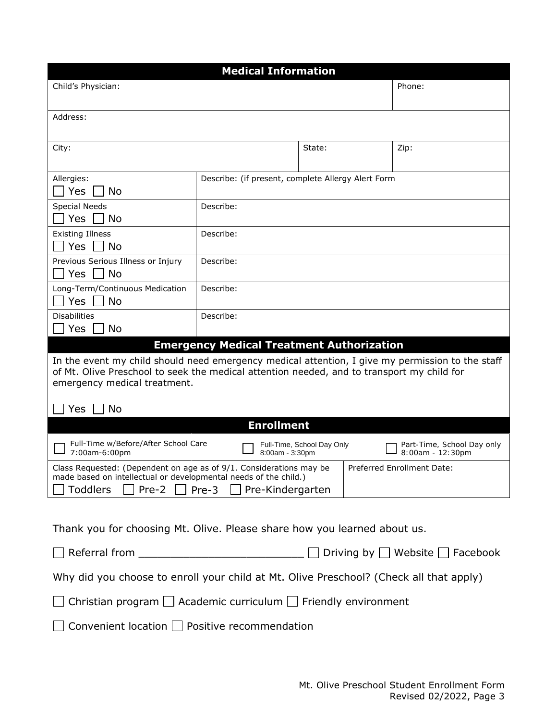|                                                                                                                                                                                                                                             | <b>Medical Information</b>                                    |                            |  |                                                |
|---------------------------------------------------------------------------------------------------------------------------------------------------------------------------------------------------------------------------------------------|---------------------------------------------------------------|----------------------------|--|------------------------------------------------|
| Child's Physician:                                                                                                                                                                                                                          |                                                               |                            |  | Phone:                                         |
| Address:                                                                                                                                                                                                                                    |                                                               |                            |  |                                                |
| City:                                                                                                                                                                                                                                       |                                                               | State:                     |  | Zip:                                           |
| Allergies:<br>Yes<br><b>No</b>                                                                                                                                                                                                              | Describe: (if present, complete Allergy Alert Form            |                            |  |                                                |
| <b>Special Needs</b><br><b>Yes</b><br><b>No</b>                                                                                                                                                                                             | Describe:                                                     |                            |  |                                                |
| <b>Existing Illness</b><br>  No<br><b>Yes</b>                                                                                                                                                                                               | Describe:                                                     |                            |  |                                                |
| Previous Serious Illness or Injury<br><b>No</b><br><b>Yes</b>                                                                                                                                                                               | Describe:                                                     |                            |  |                                                |
| Long-Term/Continuous Medication<br><b>Yes</b><br>No                                                                                                                                                                                         | Describe:                                                     |                            |  |                                                |
| <b>Disabilities</b><br><b>No</b><br>Yes                                                                                                                                                                                                     | Describe:<br><b>Emergency Medical Treatment Authorization</b> |                            |  |                                                |
| In the event my child should need emergency medical attention, I give my permission to the staff<br>of Mt. Olive Preschool to seek the medical attention needed, and to transport my child for<br>emergency medical treatment.<br>No<br>Yes |                                                               |                            |  |                                                |
|                                                                                                                                                                                                                                             | <b>Enrollment</b>                                             |                            |  |                                                |
| Full-Time w/Before/After School Care<br>7:00am-6:00pm                                                                                                                                                                                       | 8:00am - 3:30pm                                               | Full-Time, School Day Only |  | Part-Time, School Day only<br>8:00am - 12:30pm |
| Class Requested: (Dependent on age as of 9/1. Considerations may be<br>made based on intellectual or developmental needs of the child.)<br><b>Toddlers</b><br>Pre-2                                                                         | Pre-Kindergarten<br>Pre-3                                     |                            |  | Preferred Enrollment Date:                     |
| Thank you for choosing Mt. Olive. Please share how you learned about us.                                                                                                                                                                    |                                                               |                            |  |                                                |
|                                                                                                                                                                                                                                             |                                                               |                            |  | Driving by     Website   Facebook              |
| Why did you choose to enroll your child at Mt. Olive Preschool? (Check all that apply)                                                                                                                                                      |                                                               |                            |  |                                                |
| Christian program $\Box$ Academic curriculum $\Box$ Friendly environment                                                                                                                                                                    |                                                               |                            |  |                                                |
| Convenient location   Positive recommendation                                                                                                                                                                                               |                                                               |                            |  |                                                |